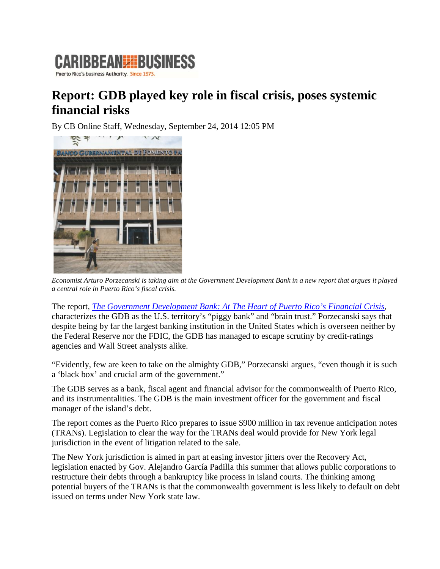

## **Report: GDB played key role in fiscal crisis, poses systemic financial risks**

By CB Online Staff, Wednesday, September 24, 2014 12:05 PM



*Economist Arturo Porzecanski is taking aim at the Government Development Bank in a new report that argues it played a central role in Puerto Rico's fiscal crisis.*

The report, *[The Government Development Bank: At The Heart of Puerto Rico's Financial Crisis](http://nw08.american.edu/~aporzeca/The%20GDB%20at%20the%20Heart%20of%20Puerto%20Ricos%20Financial%20Crisis.pdf)*, characterizes the GDB as the U.S. territory's "piggy bank" and "brain trust." Porzecanski says that despite being by far the largest banking institution in the United States which is overseen neither by the Federal Reserve nor the FDIC, the GDB has managed to escape scrutiny by credit-ratings agencies and Wall Street analysts alike.

"Evidently, few are keen to take on the almighty GDB," Porzecanski argues, "even though it is such a 'black box' and crucial arm of the government."

The GDB serves as a bank, fiscal agent and financial advisor for the commonwealth of Puerto Rico, and its instrumentalities. The GDB is the main investment officer for the government and fiscal manager of the island's debt.

The report comes as the Puerto Rico prepares to issue \$900 million in tax revenue anticipation notes (TRANs). Legislation to clear the way for the TRANs deal would provide for New York legal jurisdiction in the event of litigation related to the sale.

The New York jurisdiction is aimed in part at easing investor jitters over the Recovery Act, legislation enacted by Gov. Alejandro García Padilla this summer that allows public corporations to restructure their debts through a bankruptcy like process in island courts. The thinking among potential buyers of the TRANs is that the commonwealth government is less likely to default on debt issued on terms under New York state law.